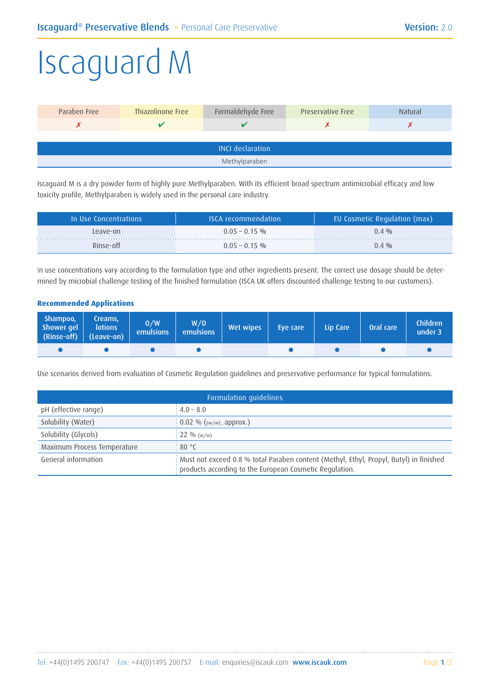## Iscaguard M

| Paraben Free            | Thiazolinone Free | Formaldehyde Free | Preservative Free | <b>Natural</b> |  |
|-------------------------|-------------------|-------------------|-------------------|----------------|--|
|                         |                   |                   |                   |                |  |
|                         |                   |                   |                   |                |  |
| <b>INCI declaration</b> |                   |                   |                   |                |  |
| Methylparaben           |                   |                   |                   |                |  |

Iscaguard M is a dry powder form of highly pure Methylparaben. With its efficient broad spectrum antimicrobial efficacy and low toxicity profile, Methylparaben is widely used in the personal care industry.

| In Use Concentrations | ISCA recommendation! | EU Cosmetic Regulation (max) |
|-----------------------|----------------------|------------------------------|
| Leave-on              | $0.05 - 0.15$ %      | $0.4 \frac{\omega_0}{2}$     |
| Rinse-off             | $0.05 - 0.15$ %      | $0.4 \frac{0}{0}$            |

In use concentrations vary according to the formulation type and other ingredients present. The correct use dosage should be determined by microbial challenge testing of the finished formulation (ISCA UK offers discounted challenge testing to our customers).

## **Recommended Applications**

| Shampoo,<br>Shower gel<br>(Rinse-off) (Leave-on) | Creams,<br>lotions | 0/W<br><b>emulsions</b> | W/O<br>emulsions | Wet wipes | Eve care | Lip Care | Oral care | <b>Children</b><br>under 3 |
|--------------------------------------------------|--------------------|-------------------------|------------------|-----------|----------|----------|-----------|----------------------------|
|                                                  |                    |                         |                  |           |          |          |           |                            |

Use scenarios derived from evaluation of Cosmetic Regulation guidelines and preservative performance for typical formulations.

| Formulation guidelines                                                                                                                                                       |                                       |  |  |
|------------------------------------------------------------------------------------------------------------------------------------------------------------------------------|---------------------------------------|--|--|
| pH (effective range)                                                                                                                                                         | $\div 4.0 - 8.0$                      |  |  |
| Solubility (Water)                                                                                                                                                           | $\frac{1}{2}$ 0.02 % ((w/w), approx.) |  |  |
| Solubility (Glycols)                                                                                                                                                         | $: 22 \%$ (w/w)                       |  |  |
| Maximum Process Temperature                                                                                                                                                  | $\cdot$ 80 °C                         |  |  |
| General information<br>: Must not exceed 0.8 % total Paraben content (Methyl, Ethyl, Propyl, Butyl) in finished<br>: products according to the European Cosmetic Regulation. |                                       |  |  |